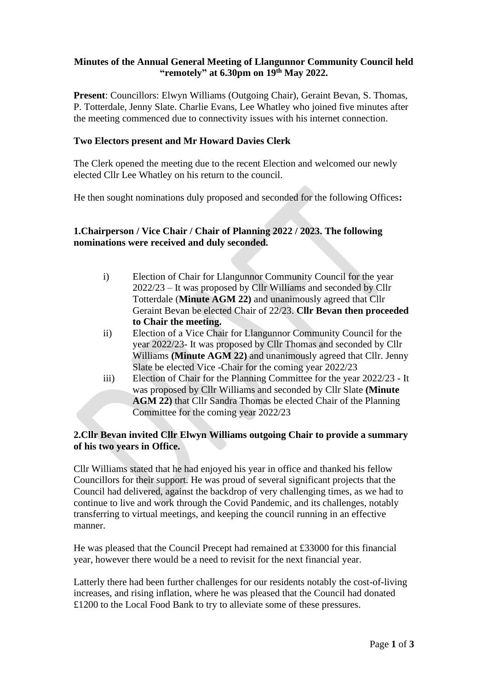#### **Minutes of the Annual General Meeting of Llangunnor Community Council held "remotely" at 6.30pm on 19th May 2022.**

**Present**: Councillors: Elwyn Williams (Outgoing Chair), Geraint Bevan, S. Thomas, P. Totterdale, Jenny Slate. Charlie Evans, Lee Whatley who joined five minutes after the meeting commenced due to connectivity issues with his internet connection.

## **Two Electors present and Mr Howard Davies Clerk**

The Clerk opened the meeting due to the recent Election and welcomed our newly elected Cllr Lee Whatley on his return to the council.

He then sought nominations duly proposed and seconded for the following Offices**:**

# **1.Chairperson / Vice Chair / Chair of Planning 2022 / 2023. The following nominations were received and duly seconded.**

- i) Election of Chair for Llangunnor Community Council for the year 2022/23 – It was proposed by Cllr Williams and seconded by Cllr Totterdale (**Minute AGM 22)** and unanimously agreed that Cllr Geraint Bevan be elected Chair of 22/23. **Cllr Bevan then proceeded to Chair the meeting.**
- ii) Election of a Vice Chair for Llangunnor Community Council for the year 2022/23- It was proposed by Cllr Thomas and seconded by Cllr Williams **(Minute AGM 22)** and unanimously agreed that Cllr. Jenny Slate be elected Vice -Chair for the coming year 2022/23
- iii) Election of Chair for the Planning Committee for the year 2022/23 It was proposed by Cllr Williams and seconded by Cllr Slate **(Minute AGM 22)** that Cllr Sandra Thomas be elected Chair of the Planning Committee for the coming year 2022/23

# **2.Cllr Bevan invited Cllr Elwyn Williams outgoing Chair to provide a summary of his two years in Office.**

Cllr Williams stated that he had enjoyed his year in office and thanked his fellow Councillors for their support. He was proud of several significant projects that the Council had delivered, against the backdrop of very challenging times, as we had to continue to live and work through the Covid Pandemic, and its challenges, notably transferring to virtual meetings, and keeping the council running in an effective manner.

He was pleased that the Council Precept had remained at £33000 for this financial year, however there would be a need to revisit for the next financial year.

Latterly there had been further challenges for our residents notably the cost-of-living increases, and rising inflation, where he was pleased that the Council had donated £1200 to the Local Food Bank to try to alleviate some of these pressures.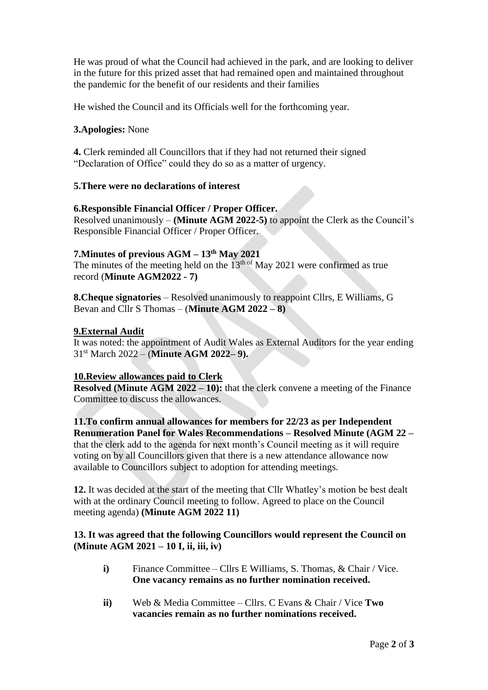He was proud of what the Council had achieved in the park, and are looking to deliver in the future for this prized asset that had remained open and maintained throughout the pandemic for the benefit of our residents and their families

He wished the Council and its Officials well for the forthcoming year.

## **3.Apologies:** None

**4.** Clerk reminded all Councillors that if they had not returned their signed "Declaration of Office" could they do so as a matter of urgency.

# **5.There were no declarations of interest**

## **6.Responsible Financial Officer / Proper Officer.**

Resolved unanimously – **(Minute AGM 2022-5)** to appoint the Clerk as the Council's Responsible Financial Officer / Proper Officer.

## **7.Minutes of previous AGM – 13th May 2021**

The minutes of the meeting held on the  $13<sup>th of</sup>$  May 2021 were confirmed as true record (**Minute AGM2022 - 7)** 

**8.Cheque signatories** – Resolved unanimously to reappoint Cllrs, E Williams, G Bevan and Cllr S Thomas – (**Minute AGM 2022 – 8)**

## **9.External Audit**

It was noted: the appointment of Audit Wales as External Auditors for the year ending 31st March 2022 – (**Minute AGM 2022– 9).** 

## **10.Review allowances paid to Clerk**

**Resolved (Minute AGM 2022 – 10):** that the clerk convene a meeting of the Finance Committee to discuss the allowances.

#### **11.To confirm annual allowances for members for 22/23 as per Independent Renumeration Panel for Wales Recommendations – Resolved Minute (AGM 22 –**

that the clerk add to the agenda for next month's Council meeting as it will require voting on by all Councillors given that there is a new attendance allowance now available to Councillors subject to adoption for attending meetings.

**12.** It was decided at the start of the meeting that Cllr Whatley's motion be best dealt with at the ordinary Council meeting to follow. Agreed to place on the Council meeting agenda) **(Minute AGM 2022 11)**

#### **13. It was agreed that the following Councillors would represent the Council on (Minute AGM 2021 – 10 I, ii, iii, iv)**

- **i**) Finance Committee Cllrs E Williams, S. Thomas, & Chair / Vice. **One vacancy remains as no further nomination received.**
- **ii)** Web & Media Committee Cllrs. C Evans & Chair / Vice **Two vacancies remain as no further nominations received.**